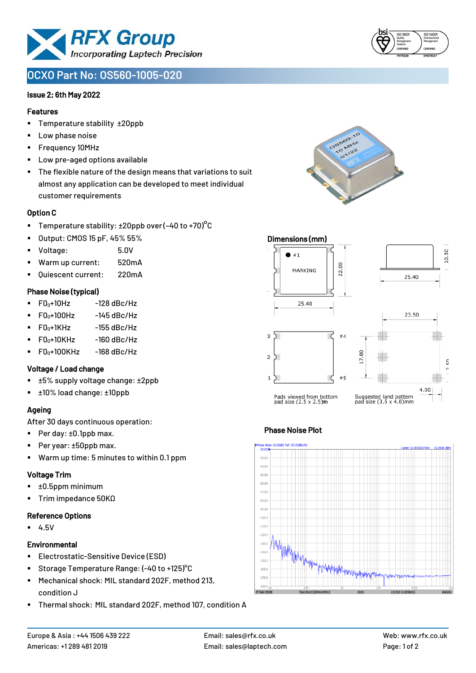

# **OCXO Part No: OS560-1005-020**

#### Issue 2; 6th May 2022

#### Features

- Temperature stability ±20ppb
- Low phase noise
- Frequency 10MHz
- Low pre-aged options available
- The flexible nature of the design means that variations to suit almost any application can be developed to meet individual customer requirements

#### Option C

- **•** Temperature stability:  $\pm 20$ ppb over (-40 to +70)<sup>o</sup>C
- Output: CMOS 15 pF, 45% 55%
- Voltage: 5.0V
- Warm up current: 520mA
- Quiescent current: 220mA

#### Phase Noise (typical)

- $F0_0+10Hz$  -128 dBc/Hz
- $F0_0+100$ Hz  $-145$  dBc/Hz
- $\blacksquare$  F0 $\scriptstyle{0+1}$ KHz -155 dBc/Hz
- $FO<sub>0</sub>+10KHz$  -160 dBc/Hz
- $\blacksquare$  F0<sub>0</sub>+100KHz -168 dBc/Hz

#### Voltage / Load change

- ±5% supply voltage change: ±2ppb
- ±10% load change: ±10ppb

# Ageing

After 30 days continuous operation:

- Per day: ±0.1ppb max.
- Per year: ±50ppb max.
- Warm up time: 5 minutes to within 0.1 ppm

#### Voltage Trim

- ±0.5ppm minimum
- Trim impedance 50KΩ

#### Reference Options

▪ 4.5V

#### **Environmental**

- Electrostatic-Sensitive Device (ESD)
- Storage Temperature Range: (-40 to +125)<sup>°</sup>C
- Mechanical shock: MIL standard 202F, method 213, condition J
- Thermal shock: MIL standard 202F, method 107, condition A







# Phase Noise Plot